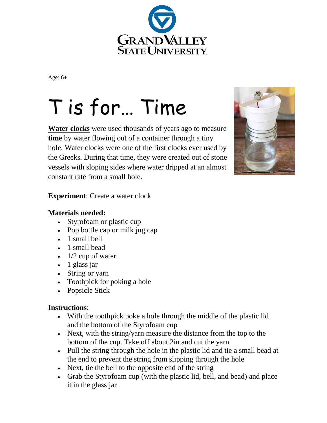

Age: 6+

# T is for… Time

**Water clocks** were used thousands of years ago to measure **time** by water flowing out of a container through a tiny hole. Water clocks were one of the first clocks ever used by the Greeks. During that time, they were created out of stone vessels with sloping sides where water dripped at an almost constant rate from a small hole.



**Experiment**: Create a water clock

### **Materials needed:**

- Styrofoam or plastic cup
- Pop bottle cap or milk jug cap
- 1 small bell
- 1 small bead
- $\cdot$  1/2 cup of water
- 1 glass jar
- String or yarn
- Toothpick for poking a hole
- Popsicle Stick

### **Instructions**:

- With the toothpick poke a hole through the middle of the plastic lid and the bottom of the Styrofoam cup
- Next, with the string/yarn measure the distance from the top to the bottom of the cup. Take off about 2in and cut the yarn
- Pull the string through the hole in the plastic lid and tie a small bead at the end to prevent the string from slipping through the hole
- Next, tie the bell to the opposite end of the string
- Grab the Styrofoam cup (with the plastic lid, bell, and bead) and place it in the glass jar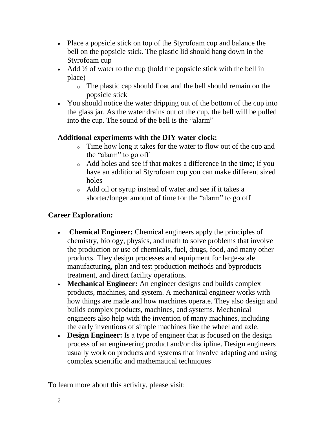- Place a popsicle stick on top of the Styrofoam cup and balance the bell on the popsicle stick. The plastic lid should hang down in the Styrofoam cup
- Add  $\frac{1}{2}$  of water to the cup (hold the popsicle stick with the bell in place)
	- o The plastic cap should float and the bell should remain on the popsicle stick
- You should notice the water dripping out of the bottom of the cup into the glass jar. As the water drains out of the cup, the bell will be pulled into the cup. The sound of the bell is the "alarm"

# **Additional experiments with the DIY water clock:**

- o Time how long it takes for the water to flow out of the cup and the "alarm" to go off
- o Add holes and see if that makes a difference in the time; if you have an additional Styrofoam cup you can make different sized holes
- o Add oil or syrup instead of water and see if it takes a shorter/longer amount of time for the "alarm" to go off

# **Career Exploration:**

- **Chemical Engineer:** Chemical engineers apply the principles of chemistry, biology, physics, and math to solve problems that involve the production or use of chemicals, fuel, drugs, food, and many other products. They design processes and equipment for large-scale manufacturing, plan and test production methods and byproducts treatment, and direct facility operations.
- **Mechanical Engineer:** An engineer designs and builds complex products, machines, and system. A mechanical engineer works with how things are made and how machines operate. They also design and builds complex products, machines, and systems. Mechanical engineers also help with the invention of many machines, including the early inventions of simple machines like the wheel and axle.
- **Design Engineer:** Is a type of engineer that is focused on the design process of an engineering product and/or discipline. Design engineers usually work on products and systems that involve adapting and using complex scientific and mathematical techniques

To learn more about this activity, please visit: